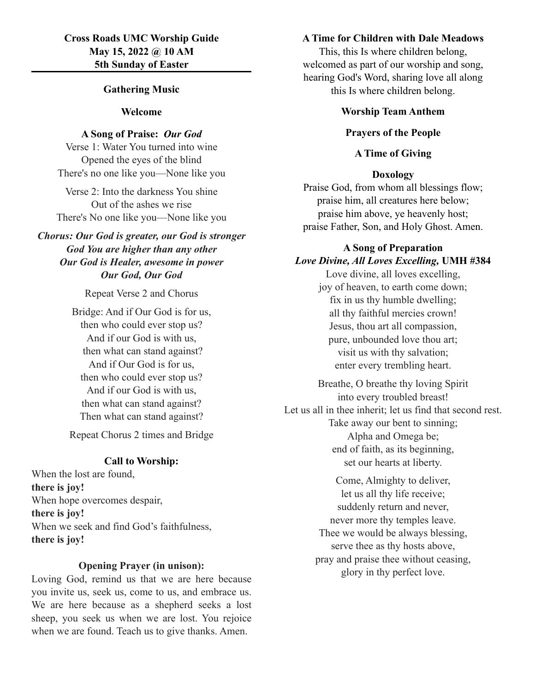## **Gathering Music**

#### **Welcome**

### **A Song of Praise:** *Our God*

Verse 1: Water You turned into wine Opened the eyes of the blind There's no one like you—None like you

Verse 2: Into the darkness You shine Out of the ashes we rise There's No one like you—None like you

*Chorus: Our God is greater, our God is stronger God You are higher than any other Our God is Healer, awesome in power Our God, Our God*

## Repeat Verse 2 and Chorus

Bridge: And if Our God is for us, then who could ever stop us? And if our God is with us, then what can stand against? And if Our God is for us, then who could ever stop us? And if our God is with us, then what can stand against? Then what can stand against?

Repeat Chorus 2 times and Bridge

# **Call to Worship:**

When the lost are found, **there is joy!** When hope overcomes despair, **there is joy!** When we seek and find God's faithfulness, **there is joy!**

## **Opening Prayer (in unison):**

Loving God, remind us that we are here because you invite us, seek us, come to us, and embrace us. We are here because as a shepherd seeks a lost sheep, you seek us when we are lost. You rejoice when we are found. Teach us to give thanks. Amen.

# **A Time for Children with Dale Meadows**

This, this Is where children belong, welcomed as part of our worship and song, hearing God's Word, sharing love all along this Is where children belong.

#### **Worship Team Anthem**

## **Prayers of the People**

## **A Time of Giving**

#### **Doxology**

Praise God, from whom all blessings flow; praise him, all creatures here below; praise him above, ye heavenly host; praise Father, Son, and Holy Ghost. Amen.

# **A Song of Preparation** *Love Divine, All Loves Excelling,* **UMH #384**

Love divine, all loves excelling, joy of heaven, to earth come down; fix in us thy humble dwelling; all thy faithful mercies crown! Jesus, thou art all compassion, pure, unbounded love thou art; visit us with thy salvation; enter every trembling heart.

Breathe, O breathe thy loving Spirit into every troubled breast! Let us all in thee inherit; let us find that second rest. Take away our bent to sinning; Alpha and Omega be; end of faith, as its beginning, set our hearts at liberty.

> Come, Almighty to deliver, let us all thy life receive; suddenly return and never, never more thy temples leave. Thee we would be always blessing, serve thee as thy hosts above, pray and praise thee without ceasing, glory in thy perfect love.